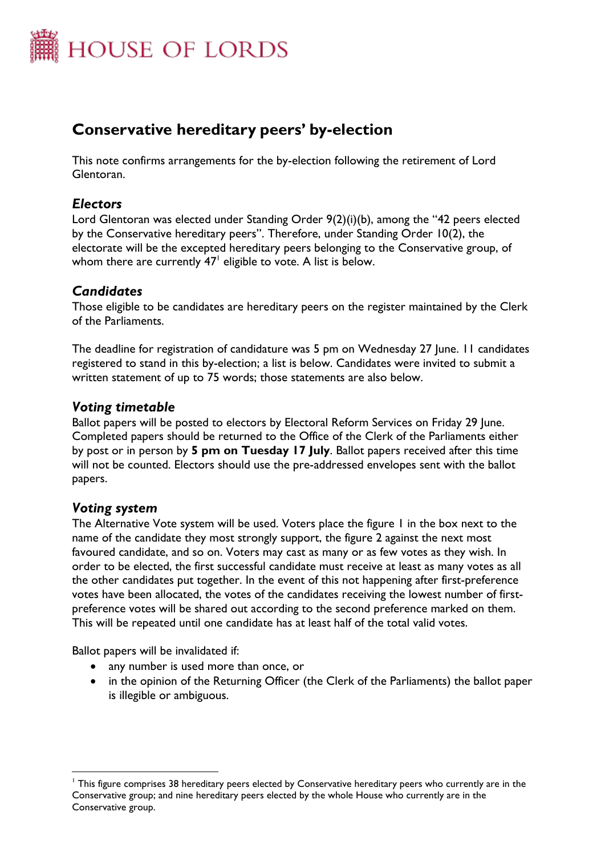

# **Conservative hereditary peers' by-election**

This note confirms arrangements for the by-election following the retirement of Lord Glentoran.

## *Electors*

Lord Glentoran was elected under Standing Order 9(2)(i)(b), among the "42 peers elected by the Conservative hereditary peers". Therefore, under Standing Order 10(2), the electorate will be the excepted hereditary peers belonging to the Conservative group, of whom there are currently 47 $^{\mathsf{l}}$  eligible to vote. A list is below.

## *Candidates*

Those eligible to be candidates are hereditary peers on the register maintained by the Clerk of the Parliaments.

The deadline for registration of candidature was 5 pm on Wednesday 27 June. 11 candidates registered to stand in this by-election; a list is below. Candidates were invited to submit a written statement of up to 75 words; those statements are also below.

## *Voting timetable*

Ballot papers will be posted to electors by Electoral Reform Services on Friday 29 June. Completed papers should be returned to the Office of the Clerk of the Parliaments either by post or in person by **5 pm on Tuesday 17 July**. Ballot papers received after this time will not be counted. Electors should use the pre-addressed envelopes sent with the ballot papers.

## *Voting system*

 $\overline{a}$ 

The Alternative Vote system will be used. Voters place the figure 1 in the box next to the name of the candidate they most strongly support, the figure 2 against the next most favoured candidate, and so on. Voters may cast as many or as few votes as they wish. In order to be elected, the first successful candidate must receive at least as many votes as all the other candidates put together. In the event of this not happening after first-preference votes have been allocated, the votes of the candidates receiving the lowest number of firstpreference votes will be shared out according to the second preference marked on them. This will be repeated until one candidate has at least half of the total valid votes.

Ballot papers will be invalidated if:

- any number is used more than once, or
- in the opinion of the Returning Officer (the Clerk of the Parliaments) the ballot paper is illegible or ambiguous.

<sup>&</sup>lt;sup>1</sup> This figure comprises 38 hereditary peers elected by Conservative hereditary peers who currently are in the Conservative group; and nine hereditary peers elected by the whole House who currently are in the Conservative group.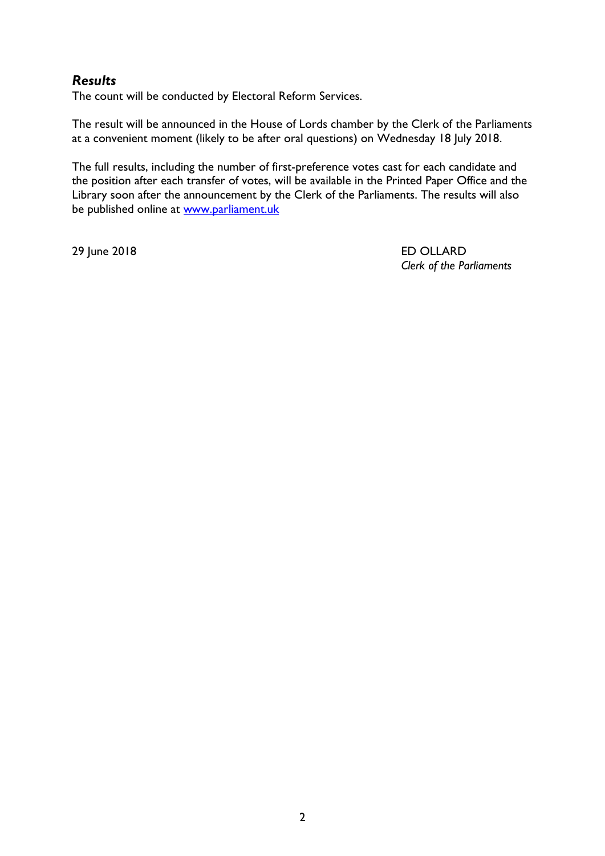## *Results*

The count will be conducted by Electoral Reform Services.

The result will be announced in the House of Lords chamber by the Clerk of the Parliaments at a convenient moment (likely to be after oral questions) on Wednesday 18 July 2018.

The full results, including the number of first-preference votes cast for each candidate and the position after each transfer of votes, will be available in the Printed Paper Office and the Library soon after the announcement by the Clerk of the Parliaments. The results will also be published online at [www.parliament.uk](http://www.parliament.uk/)

29 June 2018 ED OLLARD *Clerk of the Parliaments*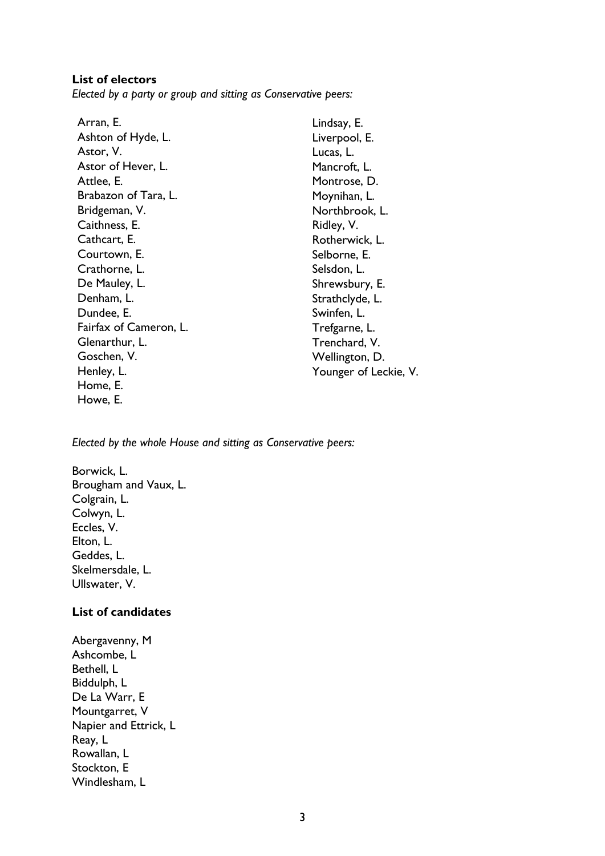#### **List of electors**

*Elected by a party or group and sitting as Conservative peers:*

| Lindsay, E.           |  |
|-----------------------|--|
| Liverpool, E.         |  |
| Lucas, L.             |  |
| Mancroft, L.          |  |
| Montrose, D.          |  |
| Moynihan, L.          |  |
| Northbrook, L.        |  |
| Ridley, V.            |  |
| Rotherwick, L.        |  |
| Selborne, E.          |  |
| Selsdon, L.           |  |
| Shrewsbury, E.        |  |
| Strathclyde, L.       |  |
| Swinfen, L.           |  |
| Trefgarne, L.         |  |
| Trenchard, V.         |  |
| Wellington, D.        |  |
| Younger of Leckie, V. |  |
|                       |  |

*Elected by the whole House and sitting as Conservative peers:*

Borwick, L. Brougham and Vaux, L. Colgrain, L. Colwyn, L. Eccles, V. Elton, L. Geddes, L. Skelmersdale, L. Ullswater, V.

#### **List of candidates**

Abergavenny, M Ashcombe, L Bethell, L Biddulph, L De La Warr, E Mountgarret, V Napier and Ettrick, L Reay, L Rowallan, L Stockton, E Windlesham, L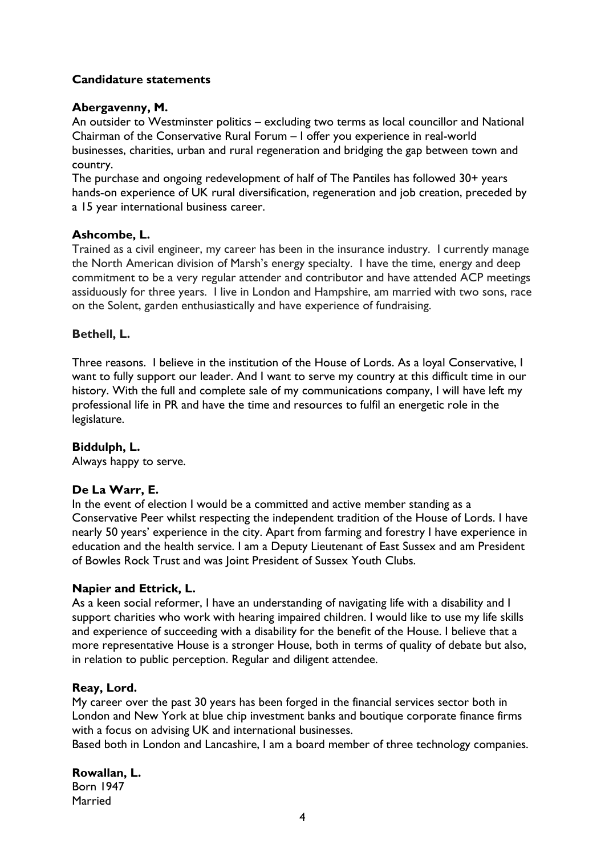### **Candidature statements**

#### **Abergavenny, M.**

An outsider to Westminster politics – excluding two terms as local councillor and National Chairman of the Conservative Rural Forum – I offer you experience in real-world businesses, charities, urban and rural regeneration and bridging the gap between town and country.

The purchase and ongoing redevelopment of half of The Pantiles has followed 30+ years hands-on experience of UK rural diversification, regeneration and job creation, preceded by a 15 year international business career.

#### **Ashcombe, L.**

Trained as a civil engineer, my career has been in the insurance industry. I currently manage the North American division of Marsh's energy specialty. I have the time, energy and deep commitment to be a very regular attender and contributor and have attended ACP meetings assiduously for three years. I live in London and Hampshire, am married with two sons, race on the Solent, garden enthusiastically and have experience of fundraising.

#### **Bethell, L.**

Three reasons. I believe in the institution of the House of Lords. As a loyal Conservative, I want to fully support our leader. And I want to serve my country at this difficult time in our history. With the full and complete sale of my communications company, I will have left my professional life in PR and have the time and resources to fulfil an energetic role in the legislature.

#### **Biddulph, L.**

Always happy to serve.

#### **De La Warr, E.**

In the event of election I would be a committed and active member standing as a Conservative Peer whilst respecting the independent tradition of the House of Lords. I have nearly 50 years' experience in the city. Apart from farming and forestry I have experience in education and the health service. I am a Deputy Lieutenant of East Sussex and am President of Bowles Rock Trust and was Joint President of Sussex Youth Clubs.

#### **Napier and Ettrick, L.**

As a keen social reformer, I have an understanding of navigating life with a disability and I support charities who work with hearing impaired children. I would like to use my life skills and experience of succeeding with a disability for the benefit of the House. I believe that a more representative House is a stronger House, both in terms of quality of debate but also, in relation to public perception. Regular and diligent attendee.

#### **Reay, Lord.**

My career over the past 30 years has been forged in the financial services sector both in London and New York at blue chip investment banks and boutique corporate finance firms with a focus on advising UK and international businesses.

Based both in London and Lancashire, I am a board member of three technology companies.

**Rowallan, L.** Born 1947 Married